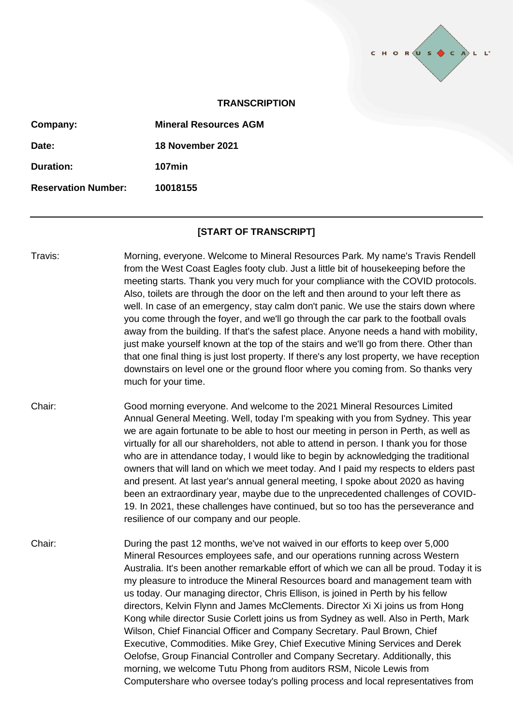

## **TRANSCRIPTION**

| Company:                   | <b>Mineral Resources AGM</b> |
|----------------------------|------------------------------|
| Date:                      | 18 November 2021             |
| <b>Duration:</b>           | $107$ min                    |
| <b>Reservation Number:</b> | 10018155                     |

### **[START OF TRANSCRIPT]**

- Travis: Morning, everyone. Welcome to Mineral Resources Park. My name's Travis Rendell from the West Coast Eagles footy club. Just a little bit of housekeeping before the meeting starts. Thank you very much for your compliance with the COVID protocols. Also, toilets are through the door on the left and then around to your left there as well. In case of an emergency, stay calm don't panic. We use the stairs down where you come through the foyer, and we'll go through the car park to the football ovals away from the building. If that's the safest place. Anyone needs a hand with mobility, just make yourself known at the top of the stairs and we'll go from there. Other than that one final thing is just lost property. If there's any lost property, we have reception downstairs on level one or the ground floor where you coming from. So thanks very much for your time.
- Chair: Good morning everyone. And welcome to the 2021 Mineral Resources Limited Annual General Meeting. Well, today I'm speaking with you from Sydney. This year we are again fortunate to be able to host our meeting in person in Perth, as well as virtually for all our shareholders, not able to attend in person. I thank you for those who are in attendance today, I would like to begin by acknowledging the traditional owners that will land on which we meet today. And I paid my respects to elders past and present. At last year's annual general meeting, I spoke about 2020 as having been an extraordinary year, maybe due to the unprecedented challenges of COVID-19. In 2021, these challenges have continued, but so too has the perseverance and resilience of our company and our people.
- Chair: During the past 12 months, we've not waived in our efforts to keep over 5,000 Mineral Resources employees safe, and our operations running across Western Australia. It's been another remarkable effort of which we can all be proud. Today it is my pleasure to introduce the Mineral Resources board and management team with us today. Our managing director, Chris Ellison, is joined in Perth by his fellow directors, Kelvin Flynn and James McClements. Director Xi Xi joins us from Hong Kong while director Susie Corlett joins us from Sydney as well. Also in Perth, Mark Wilson, Chief Financial Officer and Company Secretary. Paul Brown, Chief Executive, Commodities. Mike Grey, Chief Executive Mining Services and Derek Oelofse, Group Financial Controller and Company Secretary. Additionally, this morning, we welcome Tutu Phong from auditors RSM, Nicole Lewis from Computershare who oversee today's polling process and local representatives from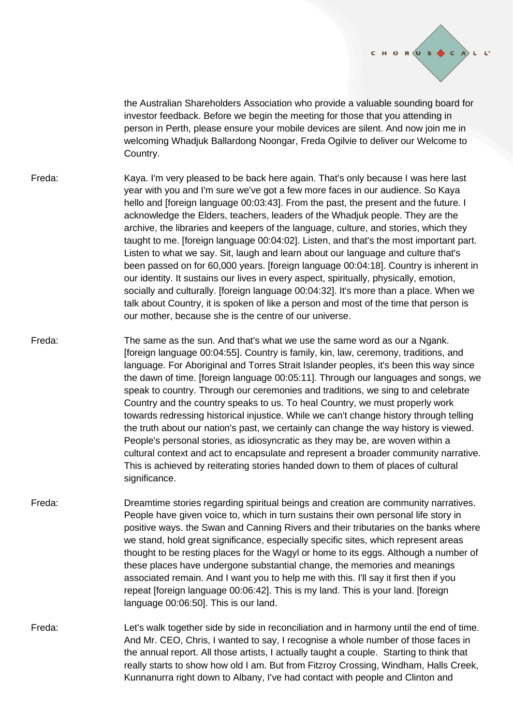

the Australian Shareholders Association who provide a valuable sounding board for investor feedback. Before we begin the meeting for those that you attending in person in Perth, please ensure your mobile devices are silent. And now join me in welcoming Whadjuk Ballardong Noongar, Freda Ogilvie to deliver our Welcome to Country.

- Freda: Kaya. I'm very pleased to be back here again. That's only because I was here last year with you and I'm sure we've got a few more faces in our audience. So Kaya hello and [foreign language 00:03:43]. From the past, the present and the future. I acknowledge the Elders, teachers, leaders of the Whadjuk people. They are the archive, the libraries and keepers of the language, culture, and stories, which they taught to me. [foreign language 00:04:02]. Listen, and that's the most important part. Listen to what we say. Sit, laugh and learn about our language and culture that's been passed on for 60,000 years. [foreign language 00:04:18]. Country is inherent in our identity. It sustains our lives in every aspect, spiritually, physically, emotion, socially and culturally. [foreign language 00:04:32]. It's more than a place. When we talk about Country, it is spoken of like a person and most of the time that person is our mother, because she is the centre of our universe.
- Freda: The same as the sun. And that's what we use the same word as our a Ngank. [foreign language 00:04:55]. Country is family, kin, law, ceremony, traditions, and language. For Aboriginal and Torres Strait Islander peoples, it's been this way since the dawn of time. [foreign language 00:05:11]. Through our languages and songs, we speak to country. Through our ceremonies and traditions, we sing to and celebrate Country and the country speaks to us. To heal Country, we must properly work towards redressing historical injustice. While we can't change history through telling the truth about our nation's past, we certainly can change the way history is viewed. People's personal stories, as idiosyncratic as they may be, are woven within a cultural context and act to encapsulate and represent a broader community narrative. This is achieved by reiterating stories handed down to them of places of cultural significance.
- Freda: Dreamtime stories regarding spiritual beings and creation are community narratives. People have given voice to, which in turn sustains their own personal life story in positive ways. the Swan and Canning Rivers and their tributaries on the banks where we stand, hold great significance, especially specific sites, which represent areas thought to be resting places for the Wagyl or home to its eggs. Although a number of these places have undergone substantial change, the memories and meanings associated remain. And I want you to help me with this. I'll say it first then if you repeat [foreign language 00:06:42]. This is my land. This is your land. [foreign language 00:06:50]. This is our land.
- Freda: Let's walk together side by side in reconciliation and in harmony until the end of time. And Mr. CEO, Chris, I wanted to say, I recognise a whole number of those faces in the annual report. All those artists, I actually taught a couple. Starting to think that really starts to show how old I am. But from Fitzroy Crossing, Windham, Halls Creek, Kunnanurra right down to Albany, I've had contact with people and Clinton and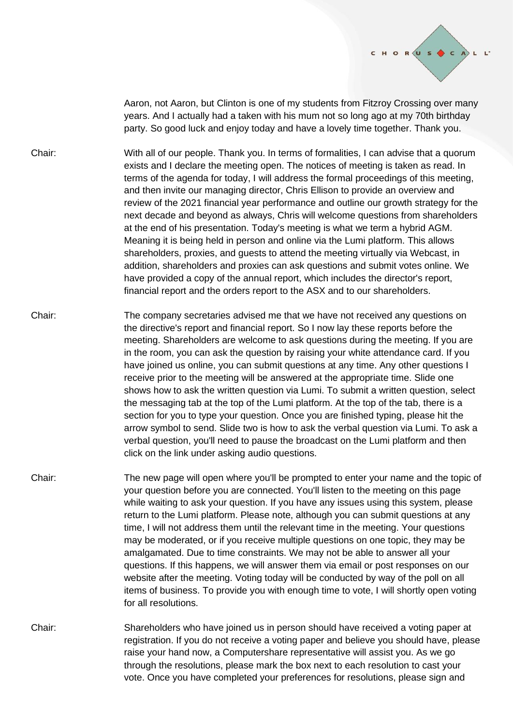

Aaron, not Aaron, but Clinton is one of my students from Fitzroy Crossing over many years. And I actually had a taken with his mum not so long ago at my 70th birthday party. So good luck and enjoy today and have a lovely time together. Thank you.

- Chair: With all of our people. Thank you. In terms of formalities, I can advise that a quorum exists and I declare the meeting open. The notices of meeting is taken as read. In terms of the agenda for today, I will address the formal proceedings of this meeting, and then invite our managing director, Chris Ellison to provide an overview and review of the 2021 financial year performance and outline our growth strategy for the next decade and beyond as always, Chris will welcome questions from shareholders at the end of his presentation. Today's meeting is what we term a hybrid AGM. Meaning it is being held in person and online via the Lumi platform. This allows shareholders, proxies, and guests to attend the meeting virtually via Webcast, in addition, shareholders and proxies can ask questions and submit votes online. We have provided a copy of the annual report, which includes the director's report, financial report and the orders report to the ASX and to our shareholders.
- Chair: The company secretaries advised me that we have not received any questions on the directive's report and financial report. So I now lay these reports before the meeting. Shareholders are welcome to ask questions during the meeting. If you are in the room, you can ask the question by raising your white attendance card. If you have joined us online, you can submit questions at any time. Any other questions I receive prior to the meeting will be answered at the appropriate time. Slide one shows how to ask the written question via Lumi. To submit a written question, select the messaging tab at the top of the Lumi platform. At the top of the tab, there is a section for you to type your question. Once you are finished typing, please hit the arrow symbol to send. Slide two is how to ask the verbal question via Lumi. To ask a verbal question, you'll need to pause the broadcast on the Lumi platform and then click on the link under asking audio questions.
- Chair: The new page will open where you'll be prompted to enter your name and the topic of your question before you are connected. You'll listen to the meeting on this page while waiting to ask your question. If you have any issues using this system, please return to the Lumi platform. Please note, although you can submit questions at any time, I will not address them until the relevant time in the meeting. Your questions may be moderated, or if you receive multiple questions on one topic, they may be amalgamated. Due to time constraints. We may not be able to answer all your questions. If this happens, we will answer them via email or post responses on our website after the meeting. Voting today will be conducted by way of the poll on all items of business. To provide you with enough time to vote, I will shortly open voting for all resolutions.
- Chair: Shareholders who have joined us in person should have received a voting paper at registration. If you do not receive a voting paper and believe you should have, please raise your hand now, a Computershare representative will assist you. As we go through the resolutions, please mark the box next to each resolution to cast your vote. Once you have completed your preferences for resolutions, please sign and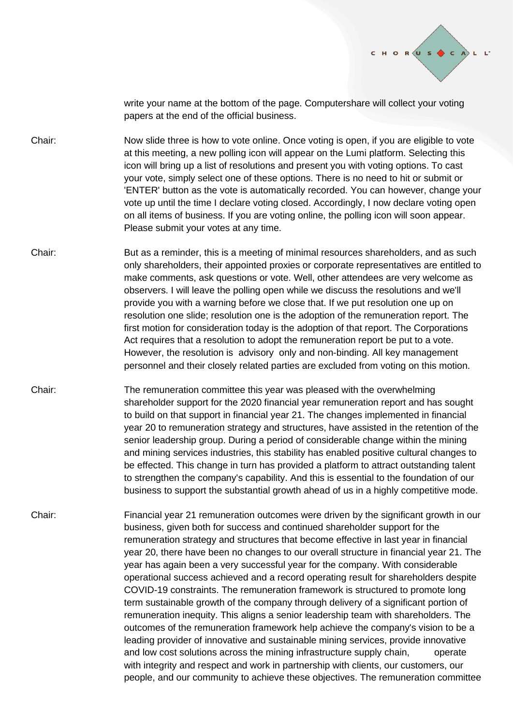

write your name at the bottom of the page. Computershare will collect your voting papers at the end of the official business.

- Chair: Now slide three is how to vote online. Once voting is open, if you are eligible to vote at this meeting, a new polling icon will appear on the Lumi platform. Selecting this icon will bring up a list of resolutions and present you with voting options. To cast your vote, simply select one of these options. There is no need to hit or submit or 'ENTER' button as the vote is automatically recorded. You can however, change your vote up until the time I declare voting closed. Accordingly, I now declare voting open on all items of business. If you are voting online, the polling icon will soon appear. Please submit your votes at any time.
- Chair: But as a reminder, this is a meeting of minimal resources shareholders, and as such only shareholders, their appointed proxies or corporate representatives are entitled to make comments, ask questions or vote. Well, other attendees are very welcome as observers. I will leave the polling open while we discuss the resolutions and we'll provide you with a warning before we close that. If we put resolution one up on resolution one slide; resolution one is the adoption of the remuneration report. The first motion for consideration today is the adoption of that report. The Corporations Act requires that a resolution to adopt the remuneration report be put to a vote. However, the resolution is advisory only and non-binding. All key management personnel and their closely related parties are excluded from voting on this motion.
- Chair: The remuneration committee this year was pleased with the overwhelming shareholder support for the 2020 financial year remuneration report and has sought to build on that support in financial year 21. The changes implemented in financial year 20 to remuneration strategy and structures, have assisted in the retention of the senior leadership group. During a period of considerable change within the mining and mining services industries, this stability has enabled positive cultural changes to be effected. This change in turn has provided a platform to attract outstanding talent to strengthen the company's capability. And this is essential to the foundation of our business to support the substantial growth ahead of us in a highly competitive mode.
- Chair: Financial year 21 remuneration outcomes were driven by the significant growth in our business, given both for success and continued shareholder support for the remuneration strategy and structures that become effective in last year in financial year 20, there have been no changes to our overall structure in financial year 21. The year has again been a very successful year for the company. With considerable operational success achieved and a record operating result for shareholders despite COVID-19 constraints. The remuneration framework is structured to promote long term sustainable growth of the company through delivery of a significant portion of remuneration inequity. This aligns a senior leadership team with shareholders. The outcomes of the remuneration framework help achieve the company's vision to be a leading provider of innovative and sustainable mining services, provide innovative and low cost solutions across the mining infrastructure supply chain, operate with integrity and respect and work in partnership with clients, our customers, our people, and our community to achieve these objectives. The remuneration committee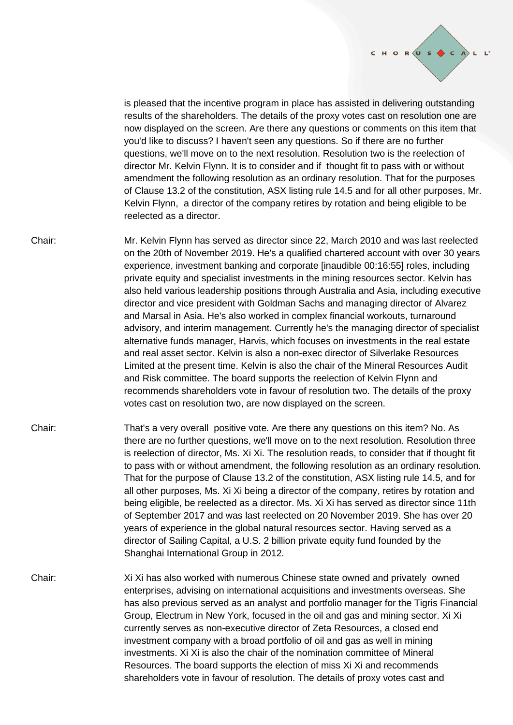

is pleased that the incentive program in place has assisted in delivering outstanding results of the shareholders. The details of the proxy votes cast on resolution one are now displayed on the screen. Are there any questions or comments on this item that you'd like to discuss? I haven't seen any questions. So if there are no further questions, we'll move on to the next resolution. Resolution two is the reelection of director Mr. Kelvin Flynn. It is to consider and if thought fit to pass with or without amendment the following resolution as an ordinary resolution. That for the purposes of Clause 13.2 of the constitution, ASX listing rule 14.5 and for all other purposes, Mr. Kelvin Flynn, a director of the company retires by rotation and being eligible to be reelected as a director.

- Chair: Mr. Kelvin Flynn has served as director since 22, March 2010 and was last reelected on the 20th of November 2019. He's a qualified chartered account with over 30 years experience, investment banking and corporate [inaudible 00:16:55] roles, including private equity and specialist investments in the mining resources sector. Kelvin has also held various leadership positions through Australia and Asia, including executive director and vice president with Goldman Sachs and managing director of Alvarez and Marsal in Asia. He's also worked in complex financial workouts, turnaround advisory, and interim management. Currently he's the managing director of specialist alternative funds manager, Harvis, which focuses on investments in the real estate and real asset sector. Kelvin is also a non-exec director of Silverlake Resources Limited at the present time. Kelvin is also the chair of the Mineral Resources Audit and Risk committee. The board supports the reelection of Kelvin Flynn and recommends shareholders vote in favour of resolution two. The details of the proxy votes cast on resolution two, are now displayed on the screen.
- Chair: That's a very overall positive vote. Are there any questions on this item? No. As there are no further questions, we'll move on to the next resolution. Resolution three is reelection of director, Ms. Xi Xi. The resolution reads, to consider that if thought fit to pass with or without amendment, the following resolution as an ordinary resolution. That for the purpose of Clause 13.2 of the constitution, ASX listing rule 14.5, and for all other purposes, Ms. Xi Xi being a director of the company, retires by rotation and being eligible, be reelected as a director. Ms. Xi Xi has served as director since 11th of September 2017 and was last reelected on 20 November 2019. She has over 20 years of experience in the global natural resources sector. Having served as a director of Sailing Capital, a U.S. 2 billion private equity fund founded by the Shanghai International Group in 2012.
- Chair: Xi Xi has also worked with numerous Chinese state owned and privately owned enterprises, advising on international acquisitions and investments overseas. She has also previous served as an analyst and portfolio manager for the Tigris Financial Group, Electrum in New York, focused in the oil and gas and mining sector. Xi Xi currently serves as non-executive director of Zeta Resources, a closed end investment company with a broad portfolio of oil and gas as well in mining investments. Xi Xi is also the chair of the nomination committee of Mineral Resources. The board supports the election of miss Xi Xi and recommends shareholders vote in favour of resolution. The details of proxy votes cast and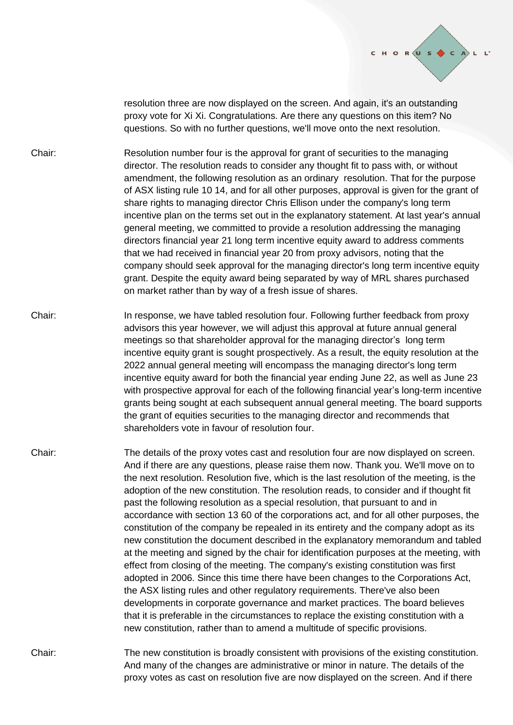

resolution three are now displayed on the screen. And again, it's an outstanding proxy vote for Xi Xi. Congratulations. Are there any questions on this item? No questions. So with no further questions, we'll move onto the next resolution.

- Chair: Resolution number four is the approval for grant of securities to the managing director. The resolution reads to consider any thought fit to pass with, or without amendment, the following resolution as an ordinary resolution. That for the purpose of ASX listing rule 10 14, and for all other purposes, approval is given for the grant of share rights to managing director Chris Ellison under the company's long term incentive plan on the terms set out in the explanatory statement. At last year's annual general meeting, we committed to provide a resolution addressing the managing directors financial year 21 long term incentive equity award to address comments that we had received in financial year 20 from proxy advisors, noting that the company should seek approval for the managing director's long term incentive equity grant. Despite the equity award being separated by way of MRL shares purchased on market rather than by way of a fresh issue of shares.
- Chair: In response, we have tabled resolution four. Following further feedback from proxy advisors this year however, we will adjust this approval at future annual general meetings so that shareholder approval for the managing director's long term incentive equity grant is sought prospectively. As a result, the equity resolution at the 2022 annual general meeting will encompass the managing director's long term incentive equity award for both the financial year ending June 22, as well as June 23 with prospective approval for each of the following financial year's long-term incentive grants being sought at each subsequent annual general meeting. The board supports the grant of equities securities to the managing director and recommends that shareholders vote in favour of resolution four.
- Chair: The details of the proxy votes cast and resolution four are now displayed on screen. And if there are any questions, please raise them now. Thank you. We'll move on to the next resolution. Resolution five, which is the last resolution of the meeting, is the adoption of the new constitution. The resolution reads, to consider and if thought fit past the following resolution as a special resolution, that pursuant to and in accordance with section 13 60 of the corporations act, and for all other purposes, the constitution of the company be repealed in its entirety and the company adopt as its new constitution the document described in the explanatory memorandum and tabled at the meeting and signed by the chair for identification purposes at the meeting, with effect from closing of the meeting. The company's existing constitution was first adopted in 2006. Since this time there have been changes to the Corporations Act, the ASX listing rules and other regulatory requirements. There've also been developments in corporate governance and market practices. The board believes that it is preferable in the circumstances to replace the existing constitution with a new constitution, rather than to amend a multitude of specific provisions.
- Chair: The new constitution is broadly consistent with provisions of the existing constitution. And many of the changes are administrative or minor in nature. The details of the proxy votes as cast on resolution five are now displayed on the screen. And if there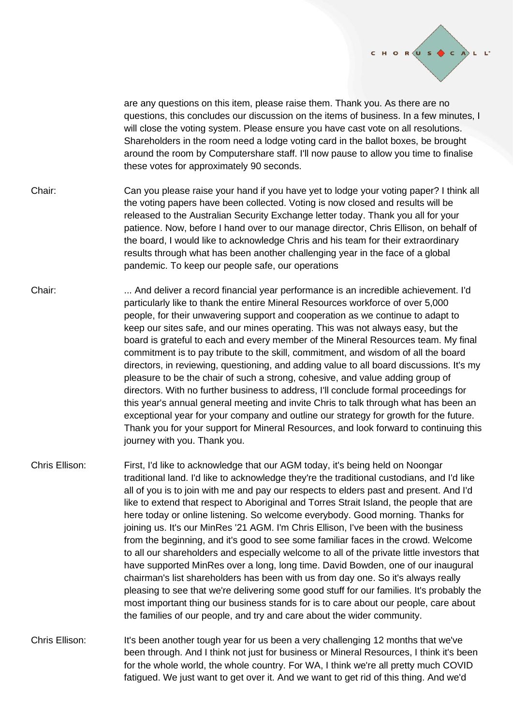

are any questions on this item, please raise them. Thank you. As there are no questions, this concludes our discussion on the items of business. In a few minutes, I will close the voting system. Please ensure you have cast vote on all resolutions. Shareholders in the room need a lodge voting card in the ballot boxes, be brought around the room by Computershare staff. I'll now pause to allow you time to finalise these votes for approximately 90 seconds.

- Chair: Can you please raise your hand if you have yet to lodge your voting paper? I think all the voting papers have been collected. Voting is now closed and results will be released to the Australian Security Exchange letter today. Thank you all for your patience. Now, before I hand over to our manage director, Chris Ellison, on behalf of the board, I would like to acknowledge Chris and his team for their extraordinary results through what has been another challenging year in the face of a global pandemic. To keep our people safe, our operations
- Chair: ... And deliver a record financial year performance is an incredible achievement. I'd particularly like to thank the entire Mineral Resources workforce of over 5,000 people, for their unwavering support and cooperation as we continue to adapt to keep our sites safe, and our mines operating. This was not always easy, but the board is grateful to each and every member of the Mineral Resources team. My final commitment is to pay tribute to the skill, commitment, and wisdom of all the board directors, in reviewing, questioning, and adding value to all board discussions. It's my pleasure to be the chair of such a strong, cohesive, and value adding group of directors. With no further business to address, I'll conclude formal proceedings for this year's annual general meeting and invite Chris to talk through what has been an exceptional year for your company and outline our strategy for growth for the future. Thank you for your support for Mineral Resources, and look forward to continuing this journey with you. Thank you.
- Chris Ellison: First, I'd like to acknowledge that our AGM today, it's being held on Noongar traditional land. I'd like to acknowledge they're the traditional custodians, and I'd like all of you is to join with me and pay our respects to elders past and present. And I'd like to extend that respect to Aboriginal and Torres Strait Island, the people that are here today or online listening. So welcome everybody. Good morning. Thanks for joining us. It's our MinRes '21 AGM. I'm Chris Ellison, I've been with the business from the beginning, and it's good to see some familiar faces in the crowd. Welcome to all our shareholders and especially welcome to all of the private little investors that have supported MinRes over a long, long time. David Bowden, one of our inaugural chairman's list shareholders has been with us from day one. So it's always really pleasing to see that we're delivering some good stuff for our families. It's probably the most important thing our business stands for is to care about our people, care about the families of our people, and try and care about the wider community.
- Chris Ellison: It's been another tough year for us been a very challenging 12 months that we've been through. And I think not just for business or Mineral Resources, I think it's been for the whole world, the whole country. For WA, I think we're all pretty much COVID fatigued. We just want to get over it. And we want to get rid of this thing. And we'd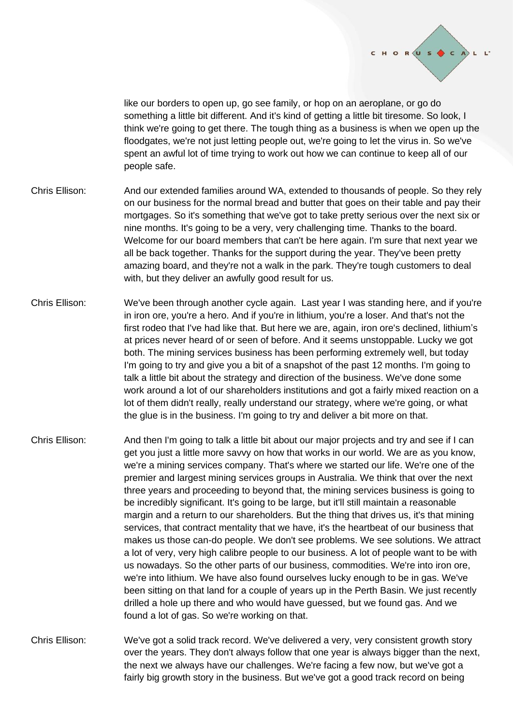

like our borders to open up, go see family, or hop on an aeroplane, or go do something a little bit different. And it's kind of getting a little bit tiresome. So look, I think we're going to get there. The tough thing as a business is when we open up the floodgates, we're not just letting people out, we're going to let the virus in. So we've spent an awful lot of time trying to work out how we can continue to keep all of our people safe.

- Chris Ellison: And our extended families around WA, extended to thousands of people. So they rely on our business for the normal bread and butter that goes on their table and pay their mortgages. So it's something that we've got to take pretty serious over the next six or nine months. It's going to be a very, very challenging time. Thanks to the board. Welcome for our board members that can't be here again. I'm sure that next year we all be back together. Thanks for the support during the year. They've been pretty amazing board, and they're not a walk in the park. They're tough customers to deal with, but they deliver an awfully good result for us.
- Chris Ellison: We've been through another cycle again. Last year I was standing here, and if you're in iron ore, you're a hero. And if you're in lithium, you're a loser. And that's not the first rodeo that I've had like that. But here we are, again, iron ore's declined, lithium's at prices never heard of or seen of before. And it seems unstoppable. Lucky we got both. The mining services business has been performing extremely well, but today I'm going to try and give you a bit of a snapshot of the past 12 months. I'm going to talk a little bit about the strategy and direction of the business. We've done some work around a lot of our shareholders institutions and got a fairly mixed reaction on a lot of them didn't really, really understand our strategy, where we're going, or what the glue is in the business. I'm going to try and deliver a bit more on that.
- Chris Ellison: And then I'm going to talk a little bit about our major projects and try and see if I can get you just a little more savvy on how that works in our world. We are as you know, we're a mining services company. That's where we started our life. We're one of the premier and largest mining services groups in Australia. We think that over the next three years and proceeding to beyond that, the mining services business is going to be incredibly significant. It's going to be large, but it'll still maintain a reasonable margin and a return to our shareholders. But the thing that drives us, it's that mining services, that contract mentality that we have, it's the heartbeat of our business that makes us those can-do people. We don't see problems. We see solutions. We attract a lot of very, very high calibre people to our business. A lot of people want to be with us nowadays. So the other parts of our business, commodities. We're into iron ore, we're into lithium. We have also found ourselves lucky enough to be in gas. We've been sitting on that land for a couple of years up in the Perth Basin. We just recently drilled a hole up there and who would have guessed, but we found gas. And we found a lot of gas. So we're working on that.
- Chris Ellison: We've got a solid track record. We've delivered a very, very consistent growth story over the years. They don't always follow that one year is always bigger than the next, the next we always have our challenges. We're facing a few now, but we've got a fairly big growth story in the business. But we've got a good track record on being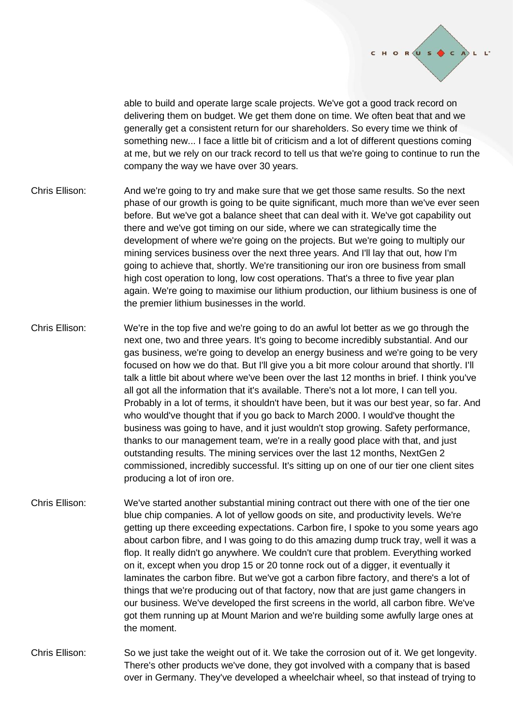

able to build and operate large scale projects. We've got a good track record on delivering them on budget. We get them done on time. We often beat that and we generally get a consistent return for our shareholders. So every time we think of something new... I face a little bit of criticism and a lot of different questions coming at me, but we rely on our track record to tell us that we're going to continue to run the company the way we have over 30 years.

- Chris Ellison: And we're going to try and make sure that we get those same results. So the next phase of our growth is going to be quite significant, much more than we've ever seen before. But we've got a balance sheet that can deal with it. We've got capability out there and we've got timing on our side, where we can strategically time the development of where we're going on the projects. But we're going to multiply our mining services business over the next three years. And I'll lay that out, how I'm going to achieve that, shortly. We're transitioning our iron ore business from small high cost operation to long, low cost operations. That's a three to five year plan again. We're going to maximise our lithium production, our lithium business is one of the premier lithium businesses in the world.
- Chris Ellison: We're in the top five and we're going to do an awful lot better as we go through the next one, two and three years. It's going to become incredibly substantial. And our gas business, we're going to develop an energy business and we're going to be very focused on how we do that. But I'll give you a bit more colour around that shortly. I'll talk a little bit about where we've been over the last 12 months in brief. I think you've all got all the information that it's available. There's not a lot more, I can tell you. Probably in a lot of terms, it shouldn't have been, but it was our best year, so far. And who would've thought that if you go back to March 2000. I would've thought the business was going to have, and it just wouldn't stop growing. Safety performance, thanks to our management team, we're in a really good place with that, and just outstanding results. The mining services over the last 12 months, NextGen 2 commissioned, incredibly successful. It's sitting up on one of our tier one client sites producing a lot of iron ore.
- Chris Ellison: We've started another substantial mining contract out there with one of the tier one blue chip companies. A lot of yellow goods on site, and productivity levels. We're getting up there exceeding expectations. Carbon fire, I spoke to you some years ago about carbon fibre, and I was going to do this amazing dump truck tray, well it was a flop. It really didn't go anywhere. We couldn't cure that problem. Everything worked on it, except when you drop 15 or 20 tonne rock out of a digger, it eventually it laminates the carbon fibre. But we've got a carbon fibre factory, and there's a lot of things that we're producing out of that factory, now that are just game changers in our business. We've developed the first screens in the world, all carbon fibre. We've got them running up at Mount Marion and we're building some awfully large ones at the moment.
- Chris Ellison: So we just take the weight out of it. We take the corrosion out of it. We get longevity. There's other products we've done, they got involved with a company that is based over in Germany. They've developed a wheelchair wheel, so that instead of trying to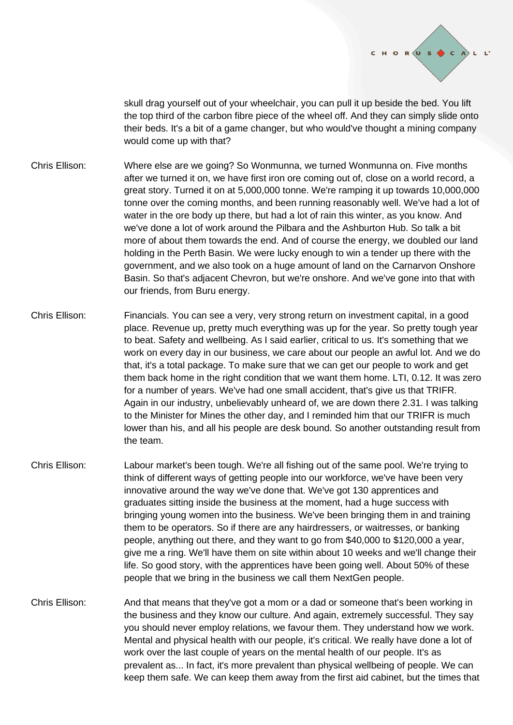

skull drag yourself out of your wheelchair, you can pull it up beside the bed. You lift the top third of the carbon fibre piece of the wheel off. And they can simply slide onto their beds. It's a bit of a game changer, but who would've thought a mining company would come up with that?

- Chris Ellison: Where else are we going? So Wonmunna, we turned Wonmunna on. Five months after we turned it on, we have first iron ore coming out of, close on a world record, a great story. Turned it on at 5,000,000 tonne. We're ramping it up towards 10,000,000 tonne over the coming months, and been running reasonably well. We've had a lot of water in the ore body up there, but had a lot of rain this winter, as you know. And we've done a lot of work around the Pilbara and the Ashburton Hub. So talk a bit more of about them towards the end. And of course the energy, we doubled our land holding in the Perth Basin. We were lucky enough to win a tender up there with the government, and we also took on a huge amount of land on the Carnarvon Onshore Basin. So that's adjacent Chevron, but we're onshore. And we've gone into that with our friends, from Buru energy.
- Chris Ellison: Financials. You can see a very, very strong return on investment capital, in a good place. Revenue up, pretty much everything was up for the year. So pretty tough year to beat. Safety and wellbeing. As I said earlier, critical to us. It's something that we work on every day in our business, we care about our people an awful lot. And we do that, it's a total package. To make sure that we can get our people to work and get them back home in the right condition that we want them home. LTI, 0.12. It was zero for a number of years. We've had one small accident, that's give us that TRIFR. Again in our industry, unbelievably unheard of, we are down there 2.31. I was talking to the Minister for Mines the other day, and I reminded him that our TRIFR is much lower than his, and all his people are desk bound. So another outstanding result from the team.
- Chris Ellison: Labour market's been tough. We're all fishing out of the same pool. We're trying to think of different ways of getting people into our workforce, we've have been very innovative around the way we've done that. We've got 130 apprentices and graduates sitting inside the business at the moment, had a huge success with bringing young women into the business. We've been bringing them in and training them to be operators. So if there are any hairdressers, or waitresses, or banking people, anything out there, and they want to go from \$40,000 to \$120,000 a year, give me a ring. We'll have them on site within about 10 weeks and we'll change their life. So good story, with the apprentices have been going well. About 50% of these people that we bring in the business we call them NextGen people.
- Chris Ellison: And that means that they've got a mom or a dad or someone that's been working in the business and they know our culture. And again, extremely successful. They say you should never employ relations, we favour them. They understand how we work. Mental and physical health with our people, it's critical. We really have done a lot of work over the last couple of years on the mental health of our people. It's as prevalent as... In fact, it's more prevalent than physical wellbeing of people. We can keep them safe. We can keep them away from the first aid cabinet, but the times that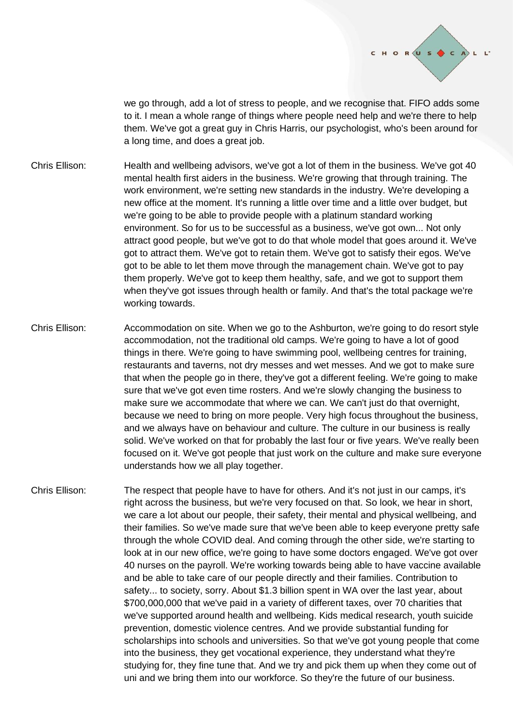

we go through, add a lot of stress to people, and we recognise that. FIFO adds some to it. I mean a whole range of things where people need help and we're there to help them. We've got a great guy in Chris Harris, our psychologist, who's been around for a long time, and does a great job.

- Chris Ellison: Health and wellbeing advisors, we've got a lot of them in the business. We've got 40 mental health first aiders in the business. We're growing that through training. The work environment, we're setting new standards in the industry. We're developing a new office at the moment. It's running a little over time and a little over budget, but we're going to be able to provide people with a platinum standard working environment. So for us to be successful as a business, we've got own... Not only attract good people, but we've got to do that whole model that goes around it. We've got to attract them. We've got to retain them. We've got to satisfy their egos. We've got to be able to let them move through the management chain. We've got to pay them properly. We've got to keep them healthy, safe, and we got to support them when they've got issues through health or family. And that's the total package we're working towards.
- Chris Ellison: Accommodation on site. When we go to the Ashburton, we're going to do resort style accommodation, not the traditional old camps. We're going to have a lot of good things in there. We're going to have swimming pool, wellbeing centres for training, restaurants and taverns, not dry messes and wet messes. And we got to make sure that when the people go in there, they've got a different feeling. We're going to make sure that we've got even time rosters. And we're slowly changing the business to make sure we accommodate that where we can. We can't just do that overnight, because we need to bring on more people. Very high focus throughout the business, and we always have on behaviour and culture. The culture in our business is really solid. We've worked on that for probably the last four or five years. We've really been focused on it. We've got people that just work on the culture and make sure everyone understands how we all play together.
- Chris Ellison: The respect that people have to have for others. And it's not just in our camps, it's right across the business, but we're very focused on that. So look, we hear in short, we care a lot about our people, their safety, their mental and physical wellbeing, and their families. So we've made sure that we've been able to keep everyone pretty safe through the whole COVID deal. And coming through the other side, we're starting to look at in our new office, we're going to have some doctors engaged. We've got over 40 nurses on the payroll. We're working towards being able to have vaccine available and be able to take care of our people directly and their families. Contribution to safety... to society, sorry. About \$1.3 billion spent in WA over the last year, about \$700,000,000 that we've paid in a variety of different taxes, over 70 charities that we've supported around health and wellbeing. Kids medical research, youth suicide prevention, domestic violence centres. And we provide substantial funding for scholarships into schools and universities. So that we've got young people that come into the business, they get vocational experience, they understand what they're studying for, they fine tune that. And we try and pick them up when they come out of uni and we bring them into our workforce. So they're the future of our business.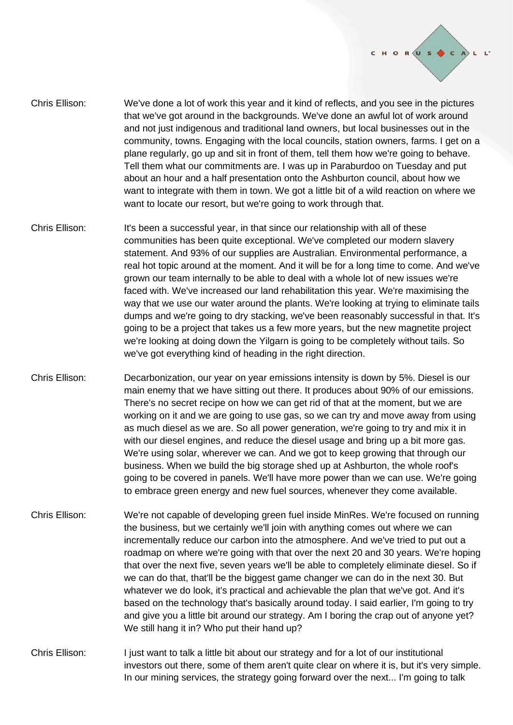

- Chris Ellison: We've done a lot of work this year and it kind of reflects, and you see in the pictures that we've got around in the backgrounds. We've done an awful lot of work around and not just indigenous and traditional land owners, but local businesses out in the community, towns. Engaging with the local councils, station owners, farms. I get on a plane regularly, go up and sit in front of them, tell them how we're going to behave. Tell them what our commitments are. I was up in Paraburdoo on Tuesday and put about an hour and a half presentation onto the Ashburton council, about how we want to integrate with them in town. We got a little bit of a wild reaction on where we want to locate our resort, but we're going to work through that.
- Chris Ellison: It's been a successful year, in that since our relationship with all of these communities has been quite exceptional. We've completed our modern slavery statement. And 93% of our supplies are Australian. Environmental performance, a real hot topic around at the moment. And it will be for a long time to come. And we've grown our team internally to be able to deal with a whole lot of new issues we're faced with. We've increased our land rehabilitation this year. We're maximising the way that we use our water around the plants. We're looking at trying to eliminate tails dumps and we're going to dry stacking, we've been reasonably successful in that. It's going to be a project that takes us a few more years, but the new magnetite project we're looking at doing down the Yilgarn is going to be completely without tails. So we've got everything kind of heading in the right direction.
- Chris Ellison: Decarbonization, our year on year emissions intensity is down by 5%. Diesel is our main enemy that we have sitting out there. It produces about 90% of our emissions. There's no secret recipe on how we can get rid of that at the moment, but we are working on it and we are going to use gas, so we can try and move away from using as much diesel as we are. So all power generation, we're going to try and mix it in with our diesel engines, and reduce the diesel usage and bring up a bit more gas. We're using solar, wherever we can. And we got to keep growing that through our business. When we build the big storage shed up at Ashburton, the whole roof's going to be covered in panels. We'll have more power than we can use. We're going to embrace green energy and new fuel sources, whenever they come available.
- Chris Ellison: We're not capable of developing green fuel inside MinRes. We're focused on running the business, but we certainly we'll join with anything comes out where we can incrementally reduce our carbon into the atmosphere. And we've tried to put out a roadmap on where we're going with that over the next 20 and 30 years. We're hoping that over the next five, seven years we'll be able to completely eliminate diesel. So if we can do that, that'll be the biggest game changer we can do in the next 30. But whatever we do look, it's practical and achievable the plan that we've got. And it's based on the technology that's basically around today. I said earlier, I'm going to try and give you a little bit around our strategy. Am I boring the crap out of anyone yet? We still hang it in? Who put their hand up?
- Chris Ellison: I just want to talk a little bit about our strategy and for a lot of our institutional investors out there, some of them aren't quite clear on where it is, but it's very simple. In our mining services, the strategy going forward over the next... I'm going to talk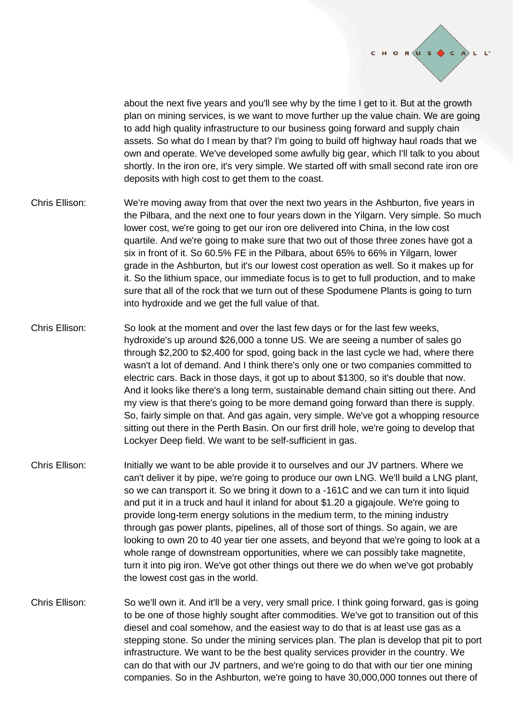

about the next five years and you'll see why by the time I get to it. But at the growth plan on mining services, is we want to move further up the value chain. We are going to add high quality infrastructure to our business going forward and supply chain assets. So what do I mean by that? I'm going to build off highway haul roads that we own and operate. We've developed some awfully big gear, which I'll talk to you about shortly. In the iron ore, it's very simple. We started off with small second rate iron ore deposits with high cost to get them to the coast.

- Chris Ellison: We're moving away from that over the next two years in the Ashburton, five years in the Pilbara, and the next one to four years down in the Yilgarn. Very simple. So much lower cost, we're going to get our iron ore delivered into China, in the low cost quartile. And we're going to make sure that two out of those three zones have got a six in front of it. So 60.5% FE in the Pilbara, about 65% to 66% in Yilgarn, lower grade in the Ashburton, but it's our lowest cost operation as well. So it makes up for it. So the lithium space, our immediate focus is to get to full production, and to make sure that all of the rock that we turn out of these Spodumene Plants is going to turn into hydroxide and we get the full value of that.
- Chris Ellison: So look at the moment and over the last few days or for the last few weeks, hydroxide's up around \$26,000 a tonne US. We are seeing a number of sales go through \$2,200 to \$2,400 for spod, going back in the last cycle we had, where there wasn't a lot of demand. And I think there's only one or two companies committed to electric cars. Back in those days, it got up to about \$1300, so it's double that now. And it looks like there's a long term, sustainable demand chain sitting out there. And my view is that there's going to be more demand going forward than there is supply. So, fairly simple on that. And gas again, very simple. We've got a whopping resource sitting out there in the Perth Basin. On our first drill hole, we're going to develop that Lockyer Deep field. We want to be self-sufficient in gas.
- Chris Ellison: Initially we want to be able provide it to ourselves and our JV partners. Where we can't deliver it by pipe, we're going to produce our own LNG. We'll build a LNG plant, so we can transport it. So we bring it down to a -161C and we can turn it into liquid and put it in a truck and haul it inland for about \$1.20 a gigajoule. We're going to provide long-term energy solutions in the medium term, to the mining industry through gas power plants, pipelines, all of those sort of things. So again, we are looking to own 20 to 40 year tier one assets, and beyond that we're going to look at a whole range of downstream opportunities, where we can possibly take magnetite, turn it into pig iron. We've got other things out there we do when we've got probably the lowest cost gas in the world.
- Chris Ellison: So we'll own it. And it'll be a very, very small price. I think going forward, gas is going to be one of those highly sought after commodities. We've got to transition out of this diesel and coal somehow, and the easiest way to do that is at least use gas as a stepping stone. So under the mining services plan. The plan is develop that pit to port infrastructure. We want to be the best quality services provider in the country. We can do that with our JV partners, and we're going to do that with our tier one mining companies. So in the Ashburton, we're going to have 30,000,000 tonnes out there of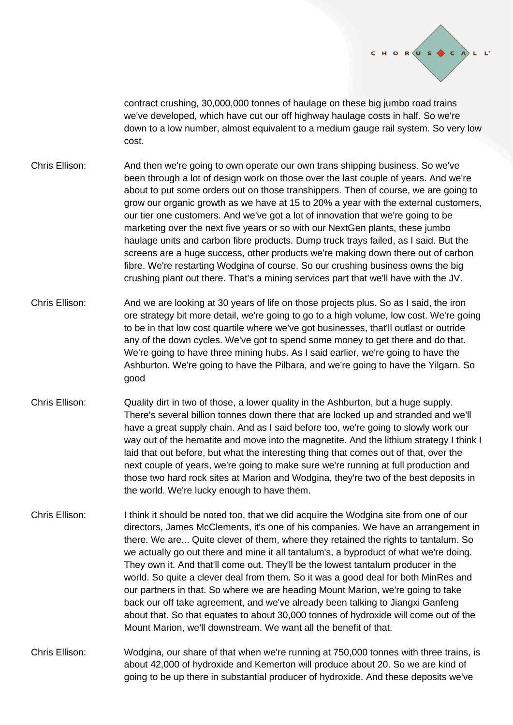

contract crushing, 30,000,000 tonnes of haulage on these big jumbo road trains we've developed, which have cut our off highway haulage costs in half. So we're down to a low number, almost equivalent to a medium gauge rail system. So very low cost.

- Chris Ellison: And then we're going to own operate our own trans shipping business. So we've been through a lot of design work on those over the last couple of years. And we're about to put some orders out on those transhippers. Then of course, we are going to grow our organic growth as we have at 15 to 20% a year with the external customers, our tier one customers. And we've got a lot of innovation that we're going to be marketing over the next five years or so with our NextGen plants, these jumbo haulage units and carbon fibre products. Dump truck trays failed, as I said. But the screens are a huge success, other products we're making down there out of carbon fibre. We're restarting Wodgina of course. So our crushing business owns the big crushing plant out there. That's a mining services part that we'll have with the JV.
- Chris Ellison: And we are looking at 30 years of life on those projects plus. So as I said, the iron ore strategy bit more detail, we're going to go to a high volume, low cost. We're going to be in that low cost quartile where we've got businesses, that'll outlast or outride any of the down cycles. We've got to spend some money to get there and do that. We're going to have three mining hubs. As I said earlier, we're going to have the Ashburton. We're going to have the Pilbara, and we're going to have the Yilgarn. So good
- Chris Ellison: Quality dirt in two of those, a lower quality in the Ashburton, but a huge supply. There's several billion tonnes down there that are locked up and stranded and we'll have a great supply chain. And as I said before too, we're going to slowly work our way out of the hematite and move into the magnetite. And the lithium strategy I think I laid that out before, but what the interesting thing that comes out of that, over the next couple of years, we're going to make sure we're running at full production and those two hard rock sites at Marion and Wodgina, they're two of the best deposits in the world. We're lucky enough to have them.
- Chris Ellison: I think it should be noted too, that we did acquire the Wodgina site from one of our directors, James McClements, it's one of his companies. We have an arrangement in there. We are... Quite clever of them, where they retained the rights to tantalum. So we actually go out there and mine it all tantalum's, a byproduct of what we're doing. They own it. And that'll come out. They'll be the lowest tantalum producer in the world. So quite a clever deal from them. So it was a good deal for both MinRes and our partners in that. So where we are heading Mount Marion, we're going to take back our off take agreement, and we've already been talking to Jiangxi Ganfeng about that. So that equates to about 30,000 tonnes of hydroxide will come out of the Mount Marion, we'll downstream. We want all the benefit of that.
- Chris Ellison: Wodgina, our share of that when we're running at 750,000 tonnes with three trains, is about 42,000 of hydroxide and Kemerton will produce about 20. So we are kind of going to be up there in substantial producer of hydroxide. And these deposits we've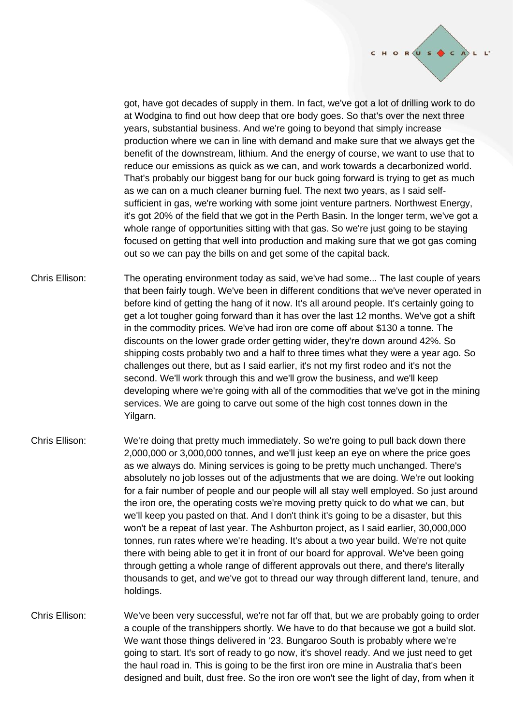

got, have got decades of supply in them. In fact, we've got a lot of drilling work to do at Wodgina to find out how deep that ore body goes. So that's over the next three years, substantial business. And we're going to beyond that simply increase production where we can in line with demand and make sure that we always get the benefit of the downstream, lithium. And the energy of course, we want to use that to reduce our emissions as quick as we can, and work towards a decarbonized world. That's probably our biggest bang for our buck going forward is trying to get as much as we can on a much cleaner burning fuel. The next two years, as I said selfsufficient in gas, we're working with some joint venture partners. Northwest Energy, it's got 20% of the field that we got in the Perth Basin. In the longer term, we've got a whole range of opportunities sitting with that gas. So we're just going to be staying focused on getting that well into production and making sure that we got gas coming out so we can pay the bills on and get some of the capital back.

- Chris Ellison: The operating environment today as said, we've had some... The last couple of years that been fairly tough. We've been in different conditions that we've never operated in before kind of getting the hang of it now. It's all around people. It's certainly going to get a lot tougher going forward than it has over the last 12 months. We've got a shift in the commodity prices. We've had iron ore come off about \$130 a tonne. The discounts on the lower grade order getting wider, they're down around 42%. So shipping costs probably two and a half to three times what they were a year ago. So challenges out there, but as I said earlier, it's not my first rodeo and it's not the second. We'll work through this and we'll grow the business, and we'll keep developing where we're going with all of the commodities that we've got in the mining services. We are going to carve out some of the high cost tonnes down in the Yilgarn.
- Chris Ellison: We're doing that pretty much immediately. So we're going to pull back down there 2,000,000 or 3,000,000 tonnes, and we'll just keep an eye on where the price goes as we always do. Mining services is going to be pretty much unchanged. There's absolutely no job losses out of the adjustments that we are doing. We're out looking for a fair number of people and our people will all stay well employed. So just around the iron ore, the operating costs we're moving pretty quick to do what we can, but we'll keep you pasted on that. And I don't think it's going to be a disaster, but this won't be a repeat of last year. The Ashburton project, as I said earlier, 30,000,000 tonnes, run rates where we're heading. It's about a two year build. We're not quite there with being able to get it in front of our board for approval. We've been going through getting a whole range of different approvals out there, and there's literally thousands to get, and we've got to thread our way through different land, tenure, and holdings.
- Chris Ellison: We've been very successful, we're not far off that, but we are probably going to order a couple of the transhippers shortly. We have to do that because we got a build slot. We want those things delivered in '23. Bungaroo South is probably where we're going to start. It's sort of ready to go now, it's shovel ready. And we just need to get the haul road in. This is going to be the first iron ore mine in Australia that's been designed and built, dust free. So the iron ore won't see the light of day, from when it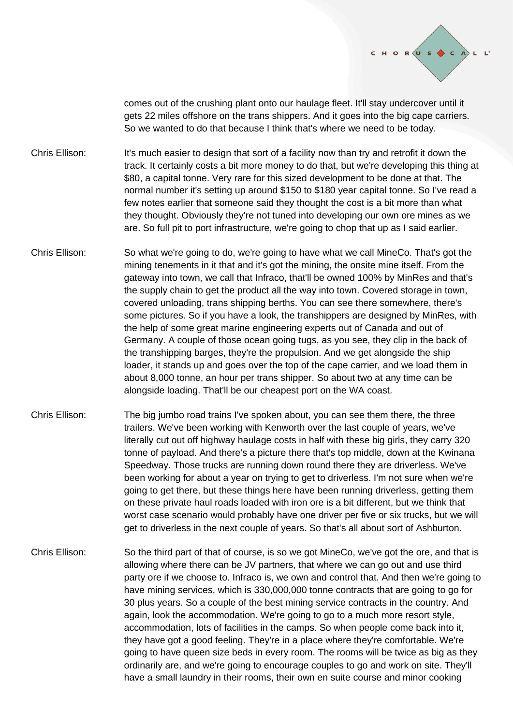

comes out of the crushing plant onto our haulage fleet. It'll stay undercover until it gets 22 miles offshore on the trans shippers. And it goes into the big cape carriers. So we wanted to do that because I think that's where we need to be today.

Chris Ellison: It's much easier to design that sort of a facility now than try and retrofit it down the track. It certainly costs a bit more money to do that, but we're developing this thing at \$80, a capital tonne. Very rare for this sized development to be done at that. The normal number it's setting up around \$150 to \$180 year capital tonne. So I've read a few notes earlier that someone said they thought the cost is a bit more than what they thought. Obviously they're not tuned into developing our own ore mines as we are. So full pit to port infrastructure, we're going to chop that up as I said earlier.

- Chris Ellison: So what we're going to do, we're going to have what we call MineCo. That's got the mining tenements in it that and it's got the mining, the onsite mine itself. From the gateway into town, we call that Infraco, that'll be owned 100% by MinRes and that's the supply chain to get the product all the way into town. Covered storage in town, covered unloading, trans shipping berths. You can see there somewhere, there's some pictures. So if you have a look, the transhippers are designed by MinRes, with the help of some great marine engineering experts out of Canada and out of Germany. A couple of those ocean going tugs, as you see, they clip in the back of the transhipping barges, they're the propulsion. And we get alongside the ship loader, it stands up and goes over the top of the cape carrier, and we load them in about 8,000 tonne, an hour per trans shipper. So about two at any time can be alongside loading. That'll be our cheapest port on the WA coast.
- Chris Ellison: The big jumbo road trains I've spoken about, you can see them there, the three trailers. We've been working with Kenworth over the last couple of years, we've literally cut out off highway haulage costs in half with these big girls, they carry 320 tonne of payload. And there's a picture there that's top middle, down at the Kwinana Speedway. Those trucks are running down round there they are driverless. We've been working for about a year on trying to get to driverless. I'm not sure when we're going to get there, but these things here have been running driverless, getting them on these private haul roads loaded with iron ore is a bit different, but we think that worst case scenario would probably have one driver per five or six trucks, but we will get to driverless in the next couple of years. So that's all about sort of Ashburton.
- Chris Ellison: So the third part of that of course, is so we got MineCo, we've got the ore, and that is allowing where there can be JV partners, that where we can go out and use third party ore if we choose to. Infraco is, we own and control that. And then we're going to have mining services, which is 330,000,000 tonne contracts that are going to go for 30 plus years. So a couple of the best mining service contracts in the country. And again, look the accommodation. We're going to go to a much more resort style, accommodation, lots of facilities in the camps. So when people come back into it, they have got a good feeling. They're in a place where they're comfortable. We're going to have queen size beds in every room. The rooms will be twice as big as they ordinarily are, and we're going to encourage couples to go and work on site. They'll have a small laundry in their rooms, their own en suite course and minor cooking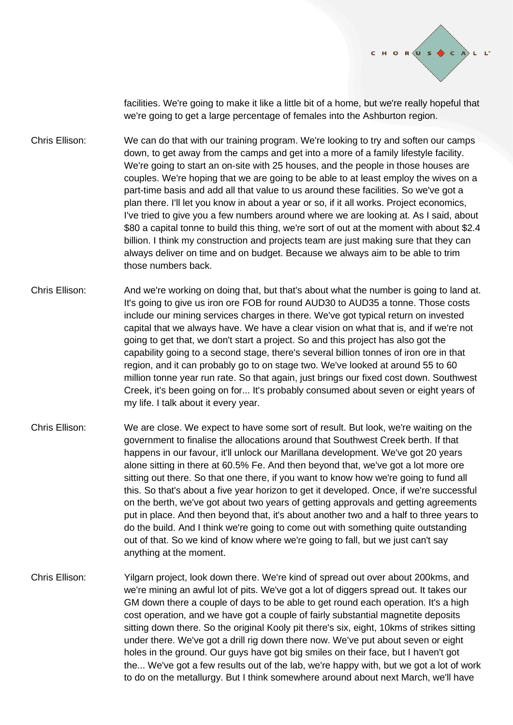

facilities. We're going to make it like a little bit of a home, but we're really hopeful that we're going to get a large percentage of females into the Ashburton region.

- Chris Ellison: We can do that with our training program. We're looking to try and soften our camps down, to get away from the camps and get into a more of a family lifestyle facility. We're going to start an on-site with 25 houses, and the people in those houses are couples. We're hoping that we are going to be able to at least employ the wives on a part-time basis and add all that value to us around these facilities. So we've got a plan there. I'll let you know in about a year or so, if it all works. Project economics, I've tried to give you a few numbers around where we are looking at. As I said, about \$80 a capital tonne to build this thing, we're sort of out at the moment with about \$2.4 billion. I think my construction and projects team are just making sure that they can always deliver on time and on budget. Because we always aim to be able to trim those numbers back.
- Chris Ellison: And we're working on doing that, but that's about what the number is going to land at. It's going to give us iron ore FOB for round AUD30 to AUD35 a tonne. Those costs include our mining services charges in there. We've got typical return on invested capital that we always have. We have a clear vision on what that is, and if we're not going to get that, we don't start a project. So and this project has also got the capability going to a second stage, there's several billion tonnes of iron ore in that region, and it can probably go to on stage two. We've looked at around 55 to 60 million tonne year run rate. So that again, just brings our fixed cost down. Southwest Creek, it's been going on for... It's probably consumed about seven or eight years of my life. I talk about it every year.
- Chris Ellison: We are close. We expect to have some sort of result. But look, we're waiting on the government to finalise the allocations around that Southwest Creek berth. If that happens in our favour, it'll unlock our Marillana development. We've got 20 years alone sitting in there at 60.5% Fe. And then beyond that, we've got a lot more ore sitting out there. So that one there, if you want to know how we're going to fund all this. So that's about a five year horizon to get it developed. Once, if we're successful on the berth, we've got about two years of getting approvals and getting agreements put in place. And then beyond that, it's about another two and a half to three years to do the build. And I think we're going to come out with something quite outstanding out of that. So we kind of know where we're going to fall, but we just can't say anything at the moment.
- Chris Ellison: Yilgarn project, look down there. We're kind of spread out over about 200kms, and we're mining an awful lot of pits. We've got a lot of diggers spread out. It takes our GM down there a couple of days to be able to get round each operation. It's a high cost operation, and we have got a couple of fairly substantial magnetite deposits sitting down there. So the original Kooly pit there's six, eight, 10kms of strikes sitting under there. We've got a drill rig down there now. We've put about seven or eight holes in the ground. Our guys have got big smiles on their face, but I haven't got the... We've got a few results out of the lab, we're happy with, but we got a lot of work to do on the metallurgy. But I think somewhere around about next March, we'll have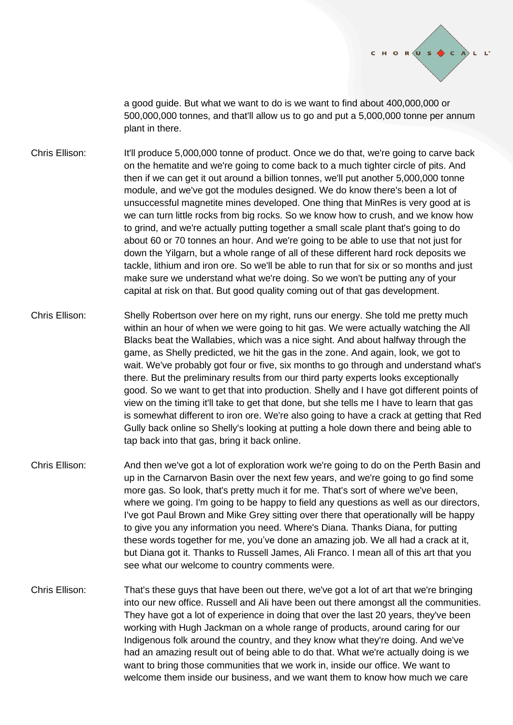

a good guide. But what we want to do is we want to find about 400,000,000 or 500,000,000 tonnes, and that'll allow us to go and put a 5,000,000 tonne per annum plant in there.

- Chris Ellison: It'll produce 5,000,000 tonne of product. Once we do that, we're going to carve back on the hematite and we're going to come back to a much tighter circle of pits. And then if we can get it out around a billion tonnes, we'll put another 5,000,000 tonne module, and we've got the modules designed. We do know there's been a lot of unsuccessful magnetite mines developed. One thing that MinRes is very good at is we can turn little rocks from big rocks. So we know how to crush, and we know how to grind, and we're actually putting together a small scale plant that's going to do about 60 or 70 tonnes an hour. And we're going to be able to use that not just for down the Yilgarn, but a whole range of all of these different hard rock deposits we tackle, lithium and iron ore. So we'll be able to run that for six or so months and just make sure we understand what we're doing. So we won't be putting any of your capital at risk on that. But good quality coming out of that gas development.
- Chris Ellison: Shelly Robertson over here on my right, runs our energy. She told me pretty much within an hour of when we were going to hit gas. We were actually watching the All Blacks beat the Wallabies, which was a nice sight. And about halfway through the game, as Shelly predicted, we hit the gas in the zone. And again, look, we got to wait. We've probably got four or five, six months to go through and understand what's there. But the preliminary results from our third party experts looks exceptionally good. So we want to get that into production. Shelly and I have got different points of view on the timing it'll take to get that done, but she tells me I have to learn that gas is somewhat different to iron ore. We're also going to have a crack at getting that Red Gully back online so Shelly's looking at putting a hole down there and being able to tap back into that gas, bring it back online.
- Chris Ellison: And then we've got a lot of exploration work we're going to do on the Perth Basin and up in the Carnarvon Basin over the next few years, and we're going to go find some more gas. So look, that's pretty much it for me. That's sort of where we've been, where we going. I'm going to be happy to field any questions as well as our directors, I've got Paul Brown and Mike Grey sitting over there that operationally will be happy to give you any information you need. Where's Diana. Thanks Diana, for putting these words together for me, you've done an amazing job. We all had a crack at it, but Diana got it. Thanks to Russell James, Ali Franco. I mean all of this art that you see what our welcome to country comments were.
- Chris Ellison: That's these guys that have been out there, we've got a lot of art that we're bringing into our new office. Russell and Ali have been out there amongst all the communities. They have got a lot of experience in doing that over the last 20 years, they've been working with Hugh Jackman on a whole range of products, around caring for our Indigenous folk around the country, and they know what they're doing. And we've had an amazing result out of being able to do that. What we're actually doing is we want to bring those communities that we work in, inside our office. We want to welcome them inside our business, and we want them to know how much we care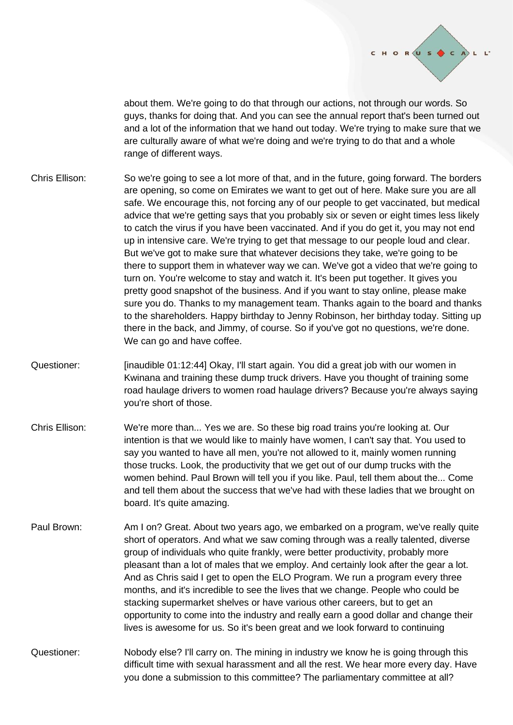

about them. We're going to do that through our actions, not through our words. So guys, thanks for doing that. And you can see the annual report that's been turned out and a lot of the information that we hand out today. We're trying to make sure that we are culturally aware of what we're doing and we're trying to do that and a whole range of different ways.

- Chris Ellison: So we're going to see a lot more of that, and in the future, going forward. The borders are opening, so come on Emirates we want to get out of here. Make sure you are all safe. We encourage this, not forcing any of our people to get vaccinated, but medical advice that we're getting says that you probably six or seven or eight times less likely to catch the virus if you have been vaccinated. And if you do get it, you may not end up in intensive care. We're trying to get that message to our people loud and clear. But we've got to make sure that whatever decisions they take, we're going to be there to support them in whatever way we can. We've got a video that we're going to turn on. You're welcome to stay and watch it. It's been put together. It gives you pretty good snapshot of the business. And if you want to stay online, please make sure you do. Thanks to my management team. Thanks again to the board and thanks to the shareholders. Happy birthday to Jenny Robinson, her birthday today. Sitting up there in the back, and Jimmy, of course. So if you've got no questions, we're done. We can go and have coffee.
- Questioner: [inaudible 01:12:44] Okay, I'll start again. You did a great job with our women in Kwinana and training these dump truck drivers. Have you thought of training some road haulage drivers to women road haulage drivers? Because you're always saying you're short of those.
- Chris Ellison: We're more than... Yes we are. So these big road trains you're looking at. Our intention is that we would like to mainly have women, I can't say that. You used to say you wanted to have all men, you're not allowed to it, mainly women running those trucks. Look, the productivity that we get out of our dump trucks with the women behind. Paul Brown will tell you if you like. Paul, tell them about the... Come and tell them about the success that we've had with these ladies that we brought on board. It's quite amazing.
- Paul Brown: Am I on? Great. About two years ago, we embarked on a program, we've really quite short of operators. And what we saw coming through was a really talented, diverse group of individuals who quite frankly, were better productivity, probably more pleasant than a lot of males that we employ. And certainly look after the gear a lot. And as Chris said I get to open the ELO Program. We run a program every three months, and it's incredible to see the lives that we change. People who could be stacking supermarket shelves or have various other careers, but to get an opportunity to come into the industry and really earn a good dollar and change their lives is awesome for us. So it's been great and we look forward to continuing
- Questioner: Nobody else? I'll carry on. The mining in industry we know he is going through this difficult time with sexual harassment and all the rest. We hear more every day. Have you done a submission to this committee? The parliamentary committee at all?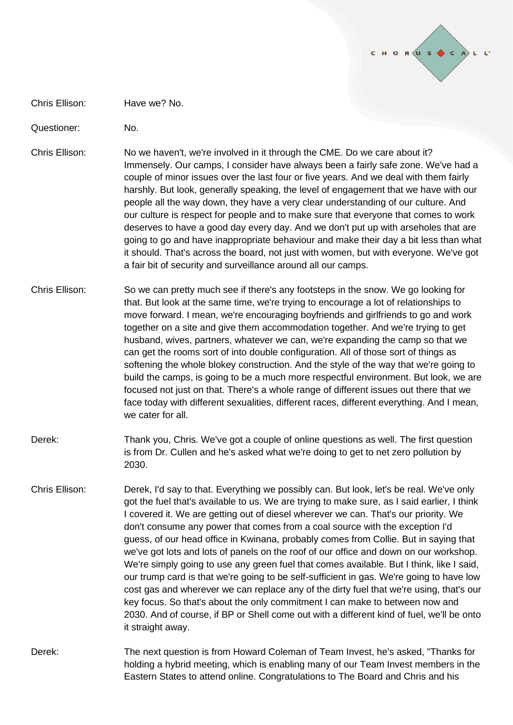### Chris Ellison: Have we? No.

Questioner: No.

Chris Ellison: No we haven't, we're involved in it through the CME. Do we care about it? Immensely. Our camps, I consider have always been a fairly safe zone. We've had a couple of minor issues over the last four or five years. And we deal with them fairly harshly. But look, generally speaking, the level of engagement that we have with our people all the way down, they have a very clear understanding of our culture. And our culture is respect for people and to make sure that everyone that comes to work deserves to have a good day every day. And we don't put up with arseholes that are going to go and have inappropriate behaviour and make their day a bit less than what it should. That's across the board, not just with women, but with everyone. We've got a fair bit of security and surveillance around all our camps.

CHORUS CA

- Chris Ellison: So we can pretty much see if there's any footsteps in the snow. We go looking for that. But look at the same time, we're trying to encourage a lot of relationships to move forward. I mean, we're encouraging boyfriends and girlfriends to go and work together on a site and give them accommodation together. And we're trying to get husband, wives, partners, whatever we can, we're expanding the camp so that we can get the rooms sort of into double configuration. All of those sort of things as softening the whole blokey construction. And the style of the way that we're going to build the camps, is going to be a much more respectful environment. But look, we are focused not just on that. There's a whole range of different issues out there that we face today with different sexualities, different races, different everything. And I mean, we cater for all.
- Derek: Thank you, Chris. We've got a couple of online questions as well. The first question is from Dr. Cullen and he's asked what we're doing to get to net zero pollution by 2030.
- Chris Ellison: Derek, I'd say to that. Everything we possibly can. But look, let's be real. We've only got the fuel that's available to us. We are trying to make sure, as I said earlier, I think I covered it. We are getting out of diesel wherever we can. That's our priority. We don't consume any power that comes from a coal source with the exception I'd guess, of our head office in Kwinana, probably comes from Collie. But in saying that we've got lots and lots of panels on the roof of our office and down on our workshop. We're simply going to use any green fuel that comes available. But I think, like I said, our trump card is that we're going to be self-sufficient in gas. We're going to have low cost gas and wherever we can replace any of the dirty fuel that we're using, that's our key focus. So that's about the only commitment I can make to between now and 2030. And of course, if BP or Shell come out with a different kind of fuel, we'll be onto it straight away.
- Derek: The next question is from Howard Coleman of Team Invest, he's asked, "Thanks for holding a hybrid meeting, which is enabling many of our Team Invest members in the Eastern States to attend online. Congratulations to The Board and Chris and his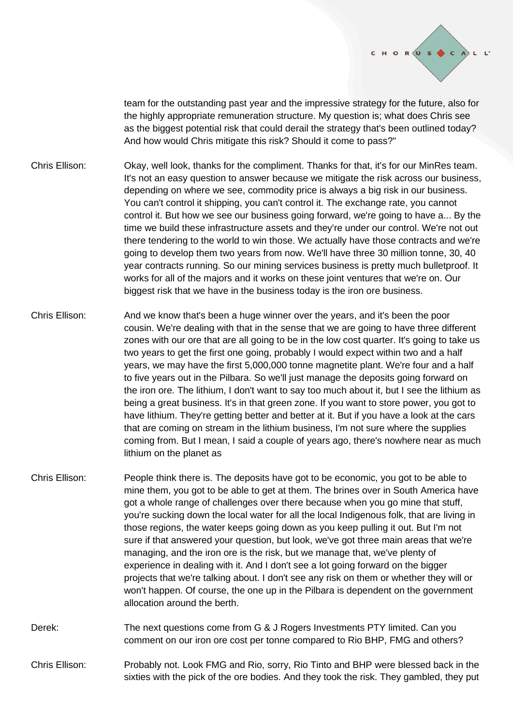

team for the outstanding past year and the impressive strategy for the future, also for the highly appropriate remuneration structure. My question is; what does Chris see as the biggest potential risk that could derail the strategy that's been outlined today? And how would Chris mitigate this risk? Should it come to pass?"

- Chris Ellison: Okay, well look, thanks for the compliment. Thanks for that, it's for our MinRes team. It's not an easy question to answer because we mitigate the risk across our business, depending on where we see, commodity price is always a big risk in our business. You can't control it shipping, you can't control it. The exchange rate, you cannot control it. But how we see our business going forward, we're going to have a... By the time we build these infrastructure assets and they're under our control. We're not out there tendering to the world to win those. We actually have those contracts and we're going to develop them two years from now. We'll have three 30 million tonne, 30, 40 year contracts running. So our mining services business is pretty much bulletproof. It works for all of the majors and it works on these joint ventures that we're on. Our biggest risk that we have in the business today is the iron ore business.
- Chris Ellison: And we know that's been a huge winner over the years, and it's been the poor cousin. We're dealing with that in the sense that we are going to have three different zones with our ore that are all going to be in the low cost quarter. It's going to take us two years to get the first one going, probably I would expect within two and a half years, we may have the first 5,000,000 tonne magnetite plant. We're four and a half to five years out in the Pilbara. So we'll just manage the deposits going forward on the iron ore. The lithium, I don't want to say too much about it, but I see the lithium as being a great business. It's in that green zone. If you want to store power, you got to have lithium. They're getting better and better at it. But if you have a look at the cars that are coming on stream in the lithium business, I'm not sure where the supplies coming from. But I mean, I said a couple of years ago, there's nowhere near as much lithium on the planet as
- Chris Ellison: People think there is. The deposits have got to be economic, you got to be able to mine them, you got to be able to get at them. The brines over in South America have got a whole range of challenges over there because when you go mine that stuff, you're sucking down the local water for all the local Indigenous folk, that are living in those regions, the water keeps going down as you keep pulling it out. But I'm not sure if that answered your question, but look, we've got three main areas that we're managing, and the iron ore is the risk, but we manage that, we've plenty of experience in dealing with it. And I don't see a lot going forward on the bigger projects that we're talking about. I don't see any risk on them or whether they will or won't happen. Of course, the one up in the Pilbara is dependent on the government allocation around the berth.
- Derek: The next questions come from G & J Rogers Investments PTY limited. Can you comment on our iron ore cost per tonne compared to Rio BHP, FMG and others?

Chris Ellison: Probably not. Look FMG and Rio, sorry, Rio Tinto and BHP were blessed back in the sixties with the pick of the ore bodies. And they took the risk. They gambled, they put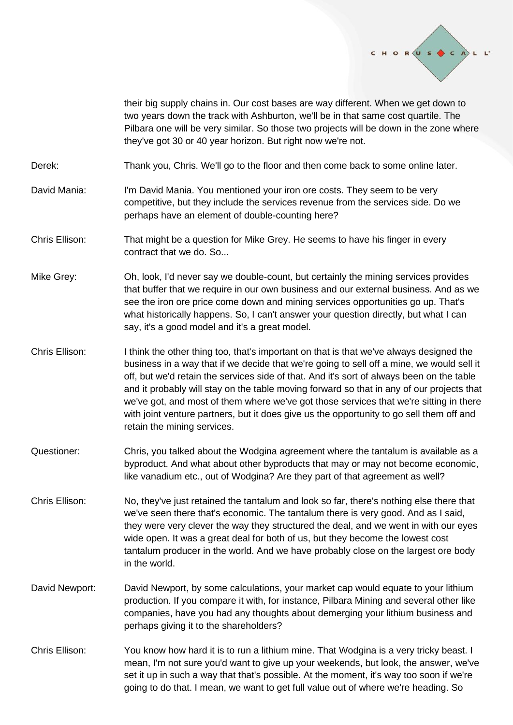

their big supply chains in. Our cost bases are way different. When we get down to two years down the track with Ashburton, we'll be in that same cost quartile. The Pilbara one will be very similar. So those two projects will be down in the zone where they've got 30 or 40 year horizon. But right now we're not.

Derek: Thank you, Chris. We'll go to the floor and then come back to some online later.

- David Mania: I'm David Mania. You mentioned your iron ore costs. They seem to be very competitive, but they include the services revenue from the services side. Do we perhaps have an element of double-counting here?
- Chris Ellison: That might be a question for Mike Grey. He seems to have his finger in every contract that we do. So...
- Mike Grey: Oh, look, I'd never say we double-count, but certainly the mining services provides that buffer that we require in our own business and our external business. And as we see the iron ore price come down and mining services opportunities go up. That's what historically happens. So, I can't answer your question directly, but what I can say, it's a good model and it's a great model.
- Chris Ellison: I think the other thing too, that's important on that is that we've always designed the business in a way that if we decide that we're going to sell off a mine, we would sell it off, but we'd retain the services side of that. And it's sort of always been on the table and it probably will stay on the table moving forward so that in any of our projects that we've got, and most of them where we've got those services that we're sitting in there with joint venture partners, but it does give us the opportunity to go sell them off and retain the mining services.
- Questioner: Chris, you talked about the Wodgina agreement where the tantalum is available as a byproduct. And what about other byproducts that may or may not become economic, like vanadium etc., out of Wodgina? Are they part of that agreement as well?
- Chris Ellison: No, they've just retained the tantalum and look so far, there's nothing else there that we've seen there that's economic. The tantalum there is very good. And as I said, they were very clever the way they structured the deal, and we went in with our eyes wide open. It was a great deal for both of us, but they become the lowest cost tantalum producer in the world. And we have probably close on the largest ore body in the world.
- David Newport: David Newport, by some calculations, your market cap would equate to your lithium production. If you compare it with, for instance, Pilbara Mining and several other like companies, have you had any thoughts about demerging your lithium business and perhaps giving it to the shareholders?
- Chris Ellison: You know how hard it is to run a lithium mine. That Wodgina is a very tricky beast. I mean, I'm not sure you'd want to give up your weekends, but look, the answer, we've set it up in such a way that that's possible. At the moment, it's way too soon if we're going to do that. I mean, we want to get full value out of where we're heading. So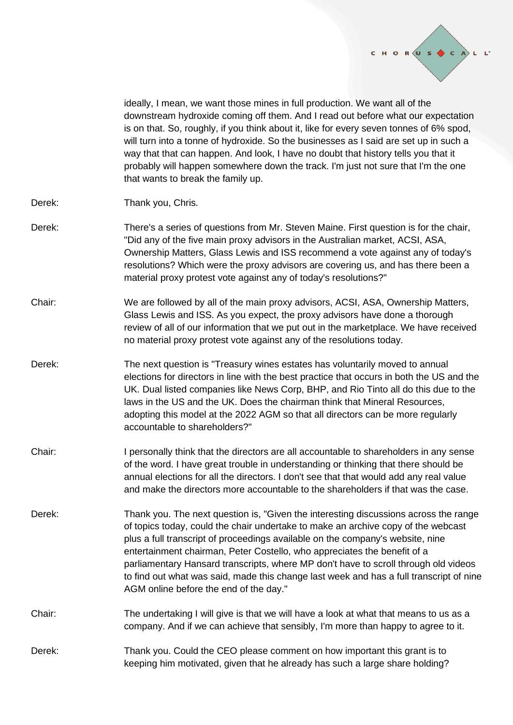

ideally, I mean, we want those mines in full production. We want all of the downstream hydroxide coming off them. And I read out before what our expectation is on that. So, roughly, if you think about it, like for every seven tonnes of 6% spod, will turn into a tonne of hydroxide. So the businesses as I said are set up in such a way that that can happen. And look, I have no doubt that history tells you that it probably will happen somewhere down the track. I'm just not sure that I'm the one that wants to break the family up.

- Derek: Thank you, Chris.
- Derek: There's a series of questions from Mr. Steven Maine. First question is for the chair, "Did any of the five main proxy advisors in the Australian market, ACSI, ASA, Ownership Matters, Glass Lewis and ISS recommend a vote against any of today's resolutions? Which were the proxy advisors are covering us, and has there been a material proxy protest vote against any of today's resolutions?"
- Chair: We are followed by all of the main proxy advisors, ACSI, ASA, Ownership Matters, Glass Lewis and ISS. As you expect, the proxy advisors have done a thorough review of all of our information that we put out in the marketplace. We have received no material proxy protest vote against any of the resolutions today.
- Derek: The next question is "Treasury wines estates has voluntarily moved to annual elections for directors in line with the best practice that occurs in both the US and the UK. Dual listed companies like News Corp, BHP, and Rio Tinto all do this due to the laws in the US and the UK. Does the chairman think that Mineral Resources, adopting this model at the 2022 AGM so that all directors can be more regularly accountable to shareholders?"
- Chair: I personally think that the directors are all accountable to shareholders in any sense of the word. I have great trouble in understanding or thinking that there should be annual elections for all the directors. I don't see that that would add any real value and make the directors more accountable to the shareholders if that was the case.
- Derek: Thank you. The next question is, "Given the interesting discussions across the range of topics today, could the chair undertake to make an archive copy of the webcast plus a full transcript of proceedings available on the company's website, nine entertainment chairman, Peter Costello, who appreciates the benefit of a parliamentary Hansard transcripts, where MP don't have to scroll through old videos to find out what was said, made this change last week and has a full transcript of nine AGM online before the end of the day."
- Chair: The undertaking I will give is that we will have a look at what that means to us as a company. And if we can achieve that sensibly, I'm more than happy to agree to it.

Derek: Thank you. Could the CEO please comment on how important this grant is to keeping him motivated, given that he already has such a large share holding?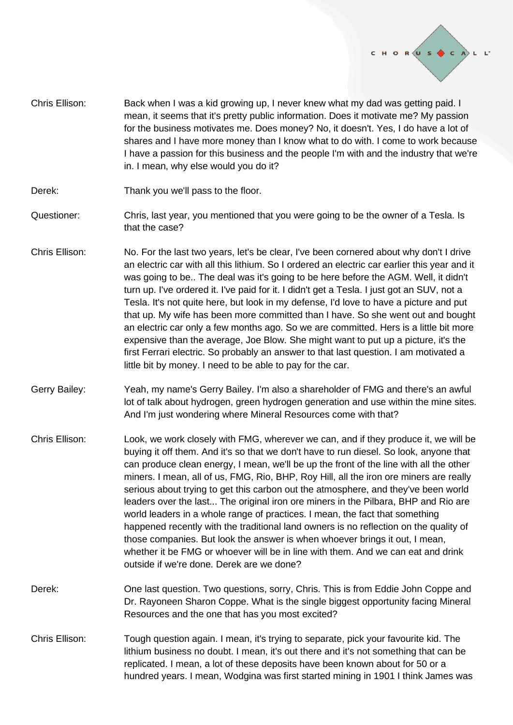

Chris Ellison: Back when I was a kid growing up, I never knew what my dad was getting paid. I mean, it seems that it's pretty public information. Does it motivate me? My passion for the business motivates me. Does money? No, it doesn't. Yes, I do have a lot of shares and I have more money than I know what to do with. I come to work because I have a passion for this business and the people I'm with and the industry that we're in. I mean, why else would you do it?

#### Derek: Thank you we'll pass to the floor.

- Questioner: Chris, last year, you mentioned that you were going to be the owner of a Tesla. Is that the case?
- Chris Ellison: No. For the last two years, let's be clear, I've been cornered about why don't I drive an electric car with all this lithium. So I ordered an electric car earlier this year and it was going to be.. The deal was it's going to be here before the AGM. Well, it didn't turn up. I've ordered it. I've paid for it. I didn't get a Tesla. I just got an SUV, not a Tesla. It's not quite here, but look in my defense, I'd love to have a picture and put that up. My wife has been more committed than I have. So she went out and bought an electric car only a few months ago. So we are committed. Hers is a little bit more expensive than the average, Joe Blow. She might want to put up a picture, it's the first Ferrari electric. So probably an answer to that last question. I am motivated a little bit by money. I need to be able to pay for the car.
- Gerry Bailey: Yeah, my name's Gerry Bailey. I'm also a shareholder of FMG and there's an awful lot of talk about hydrogen, green hydrogen generation and use within the mine sites. And I'm just wondering where Mineral Resources come with that?
- Chris Ellison: Look, we work closely with FMG, wherever we can, and if they produce it, we will be buying it off them. And it's so that we don't have to run diesel. So look, anyone that can produce clean energy, I mean, we'll be up the front of the line with all the other miners. I mean, all of us, FMG, Rio, BHP, Roy Hill, all the iron ore miners are really serious about trying to get this carbon out the atmosphere, and they've been world leaders over the last... The original iron ore miners in the Pilbara, BHP and Rio are world leaders in a whole range of practices. I mean, the fact that something happened recently with the traditional land owners is no reflection on the quality of those companies. But look the answer is when whoever brings it out, I mean, whether it be FMG or whoever will be in line with them. And we can eat and drink outside if we're done. Derek are we done?
- Derek: One last question. Two questions, sorry, Chris. This is from Eddie John Coppe and Dr. Rayoneen Sharon Coppe. What is the single biggest opportunity facing Mineral Resources and the one that has you most excited?
- Chris Ellison: Tough question again. I mean, it's trying to separate, pick your favourite kid. The lithium business no doubt. I mean, it's out there and it's not something that can be replicated. I mean, a lot of these deposits have been known about for 50 or a hundred years. I mean, Wodgina was first started mining in 1901 I think James was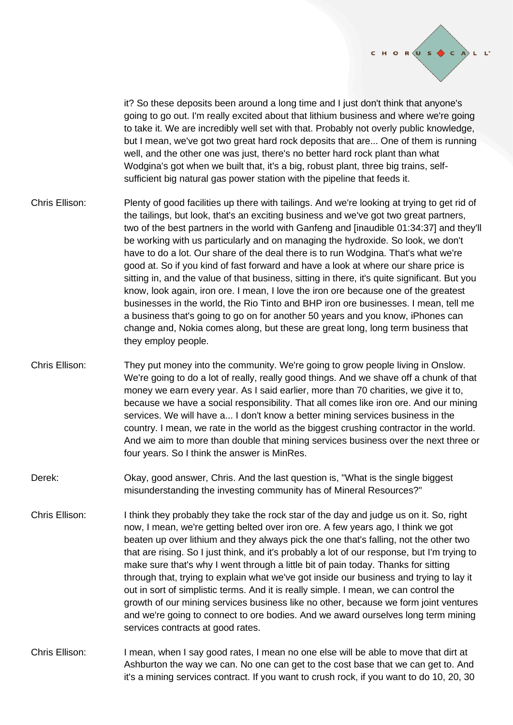

it? So these deposits been around a long time and I just don't think that anyone's going to go out. I'm really excited about that lithium business and where we're going to take it. We are incredibly well set with that. Probably not overly public knowledge, but I mean, we've got two great hard rock deposits that are... One of them is running well, and the other one was just, there's no better hard rock plant than what Wodgina's got when we built that, it's a big, robust plant, three big trains, selfsufficient big natural gas power station with the pipeline that feeds it.

- Chris Ellison: Plenty of good facilities up there with tailings. And we're looking at trying to get rid of the tailings, but look, that's an exciting business and we've got two great partners, two of the best partners in the world with Ganfeng and [inaudible 01:34:37] and they'll be working with us particularly and on managing the hydroxide. So look, we don't have to do a lot. Our share of the deal there is to run Wodgina. That's what we're good at. So if you kind of fast forward and have a look at where our share price is sitting in, and the value of that business, sitting in there, it's quite significant. But you know, look again, iron ore. I mean, I love the iron ore because one of the greatest businesses in the world, the Rio Tinto and BHP iron ore businesses. I mean, tell me a business that's going to go on for another 50 years and you know, iPhones can change and, Nokia comes along, but these are great long, long term business that they employ people.
- Chris Ellison: They put money into the community. We're going to grow people living in Onslow. We're going to do a lot of really, really good things. And we shave off a chunk of that money we earn every year. As I said earlier, more than 70 charities, we give it to, because we have a social responsibility. That all comes like iron ore. And our mining services. We will have a... I don't know a better mining services business in the country. I mean, we rate in the world as the biggest crushing contractor in the world. And we aim to more than double that mining services business over the next three or four years. So I think the answer is MinRes.
- Derek: Okay, good answer, Chris. And the last question is, "What is the single biggest misunderstanding the investing community has of Mineral Resources?"
- Chris Ellison: I think they probably they take the rock star of the day and judge us on it. So, right now, I mean, we're getting belted over iron ore. A few years ago, I think we got beaten up over lithium and they always pick the one that's falling, not the other two that are rising. So I just think, and it's probably a lot of our response, but I'm trying to make sure that's why I went through a little bit of pain today. Thanks for sitting through that, trying to explain what we've got inside our business and trying to lay it out in sort of simplistic terms. And it is really simple. I mean, we can control the growth of our mining services business like no other, because we form joint ventures and we're going to connect to ore bodies. And we award ourselves long term mining services contracts at good rates.
- Chris Ellison: I mean, when I say good rates, I mean no one else will be able to move that dirt at Ashburton the way we can. No one can get to the cost base that we can get to. And it's a mining services contract. If you want to crush rock, if you want to do 10, 20, 30